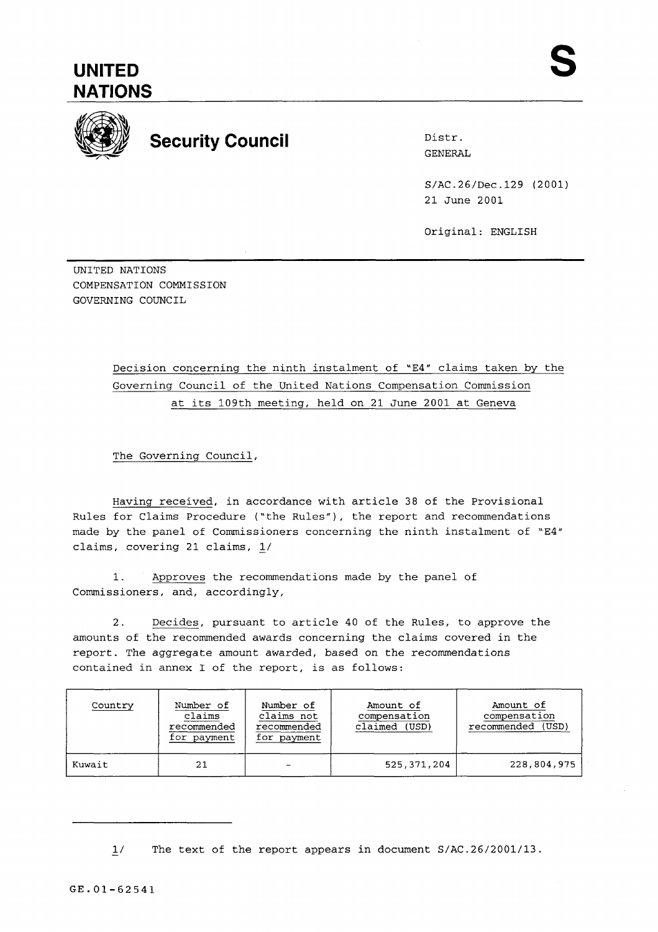

## **Security Council** Distr.

GENERAL

S/AC.26/Dec.129 (2001) 21 June 2001

Original: ENGLISH

- UNITED NATIONS COMPENSATION COMMISSION GOVERNING COUNCIL

> Decision concerning the ninth instalment of "E4" claims taken by the Governing Council of the United Nations Compensation Commission at its 109th meeting, held on 21 June 2001 at Geneva

The Governing Council,

Having received, in accordance with article 38 of the Provisional Rules for Claims Procedure ("the Rules"), the report and recommendations made by the panel of Commissioners concerning the ninth instalment of "E4" claims, covering 21 claims, L/

1. Approves the recommendations made by the panel of Commissioners, and, accordingly,

2. Decides, pursuant to article 40 of the Rules, to approve the amounts of the recommended awards concerning the claims covered in the report. The aggregate amount awarded, based on the recommendations contained in annex I of the report, is as follows:

| Country | Number of   | Number of   | Amount of    | Amount of    |
|---------|-------------|-------------|--------------|--------------|
|         | claims      | claims not  | compensation | compensation |
|         | recommended | recommended | claimed      | (USD)        |
|         | for payment | for payment | (USD)        | recommended  |
| Kuwait  | 21          |             | 525,371,204  | 228,804,975  |

1/ The text of the report appears in document S/AC.26/2001/13.